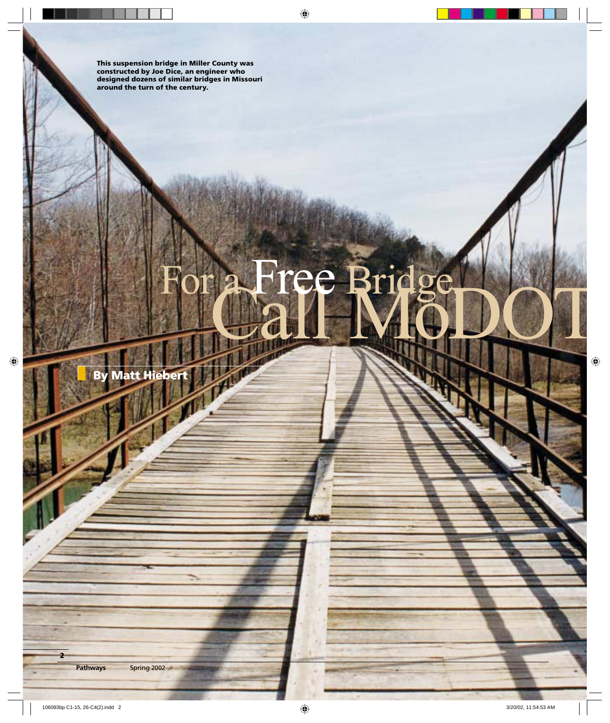**This suspension bridge in Miller County was constructed by Joe Dice, an engineer who designed dozens of similar bridges in Missouri around the turn of the century.**

# Call MoDOT ree Bridge

**By Matt Hiebert**

**Pathways Spring 2002** 

**2**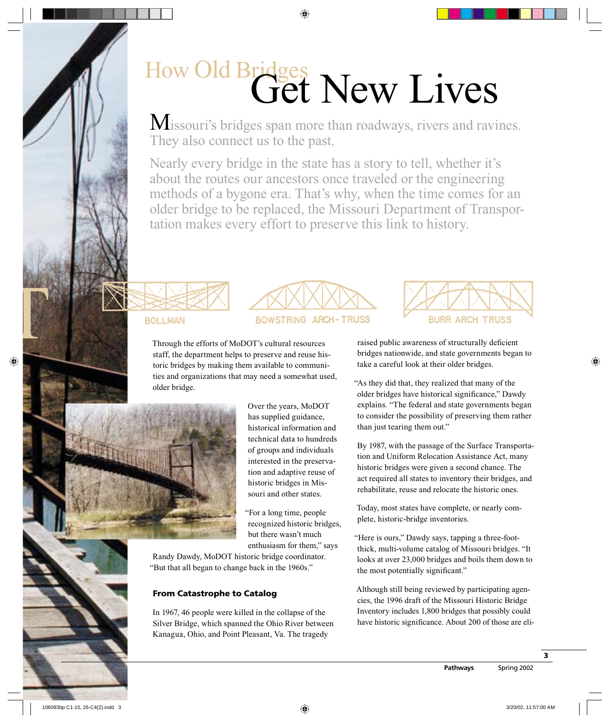### How Old Bridges Get New Lives

Missouri's bridges span more than roadways, rivers and ravines. They also connect us to the past.

Nearly every bridge in the state has a story to tell, whether it's about the routes our ancestors once traveled or the engineering methods of a bygone era. That's why, when the time comes for an older bridge to be replaced, the Missouri Department of Transportation makes every effort to preserve this link to history.

### **BOLLMAN**

D<br>-<br>-



Through the efforts of MoDOT's cultural resources staff, the department helps to preserve and reuse historic bridges by making them available to communities and organizations that may need a somewhat used, older bridge.



Over the years, MoDOT has supplied guidance, historical information and technical data to hundreds of groups and individuals interested in the preservation and adaptive reuse of historic bridges in Missouri and other states.

"For a long time, people recognized historic bridges, but there wasn't much enthusiasm for them," says

Randy Dawdy, MoDOT historic bridge coordinator. "But that all began to change back in the 1960s."

### **From Catastrophe to Catalog**

In 1967, 46 people were killed in the collapse of the Silver Bridge, which spanned the Ohio River between Kanagua, Ohio, and Point Pleasant, Va. The tragedy



raised public awareness of structurally deficient bridges nationwide, and state governments began to take a careful look at their older bridges.

"As they did that, they realized that many of the older bridges have historical significance," Dawdy explains. "The federal and state governments began to consider the possibility of preserving them rather than just tearing them out."

By 1987, with the passage of the Surface Transportation and Uniform Relocation Assistance Act, many historic bridges were given a second chance. The act required all states to inventory their bridges, and rehabilitate, reuse and relocate the historic ones.

Today, most states have complete, or nearly complete, historic-bridge inventories.

"Here is ours," Dawdy says, tapping a three-footthick, multi-volume catalog of Missouri bridges. "It looks at over 23,000 bridges and boils them down to the most potentially significant."

Although still being reviewed by participating agencies, the 1996 draft of the Missouri Historic Bridge Inventory includes 1,800 bridges that possibly could have historic significance. About 200 of those are eli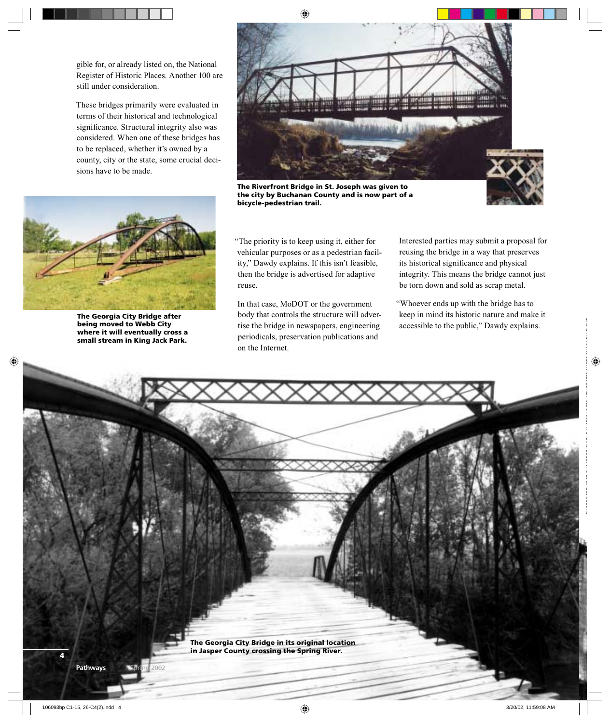gible for, or already listed on, the National Register of Historic Places. Another 100 are still under consideration.

These bridges primarily were evaluated in terms of their historical and technological significance. Structural integrity also was considered. When one of these bridges has to be replaced, whether it's owned by a county, city or the state, some crucial decisions have to be made.



**The Riverfront Bridge in St. Joseph was given to the city by Buchanan County and is now part of a bicycle-pedestrian trail.**





**The Georgia City Bridge after being moved to Webb City where it will eventually cross a small stream in King Jack Park.**

"The priority is to keep using it, either for vehicular purposes or as a pedestrian facility," Dawdy explains. If this isn't feasible, then the bridge is advertised for adaptive reuse.

In that case, MoDOT or the government body that controls the structure will advertise the bridge in newspapers, engineering periodicals, preservation publications and on the Internet.

Interested parties may submit a proposal for reusing the bridge in a way that preserves its historical significance and physical integrity. This means the bridge cannot just be torn down and sold as scrap metal.

"Whoever ends up with the bridge has to keep in mind its historic nature and make it accessible to the public," Dawdy explains.

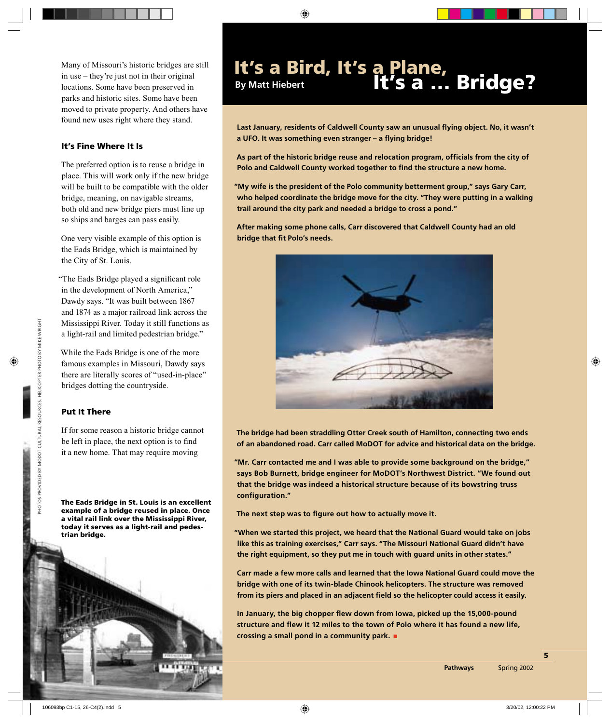in use – they're just not in their original locations. Some have been preserved in parks and historic sites. Some have been moved to private property. And others have found new uses right where they stand.

### **It's Fine Where It Is**

The preferred option is to reuse a bridge in place. This will work only if the new bridge will be built to be compatible with the older bridge, meaning, on navigable streams, both old and new bridge piers must line up so ships and barges can pass easily.

One very visible example of this option is the Eads Bridge, which is maintained by the City of St. Louis.

"The Eads Bridge played a significant role in the development of North America," Dawdy says. "It was built between 1867 and 1874 as a major railroad link across the Mississippi River. Today it still functions as a light-rail and limited pedestrian bridge."

While the Eads Bridge is one of the more famous examples in Missouri, Dawdy says there are literally scores of "used-in-place" bridges dotting the countryside.

### **Put It There**

If for some reason a historic bridge cannot be left in place, the next option is to find it a new home. That may require moving

**The Eads Bridge in St. Louis is an excellent example of a bridge reused in place. Once a vital rail link over the Mississippi River, today it serves as a light-rail and pedestrian bridge.** 



## Many of Missouri's historic bridges are still **It's a Bird, It's a Plane,** in use – they're just not in their original **By Matt Hiebert It's a ... Bridge?**

Last January, residents of Caldwell County saw an unusual flying object. No, it wasn't **a UFO. It was something even stranger – a fl ying bridge!**

As part of the historic bridge reuse and relocation program, officials from the city of Polo and Caldwell County worked together to find the structure a new home.

**"My wife is the president of the Polo community betterment group," says Gary Carr, who helped coordinate the bridge move for the city. "They were putting in a walking trail around the city park and needed a bridge to cross a pond."**

**After making some phone calls, Carr discovered that Caldwell County had an old bridge that fit Polo's needs.** 



**The bridge had been straddling Otter Creek south of Hamilton, connecting two ends of an abandoned road. Carr called MoDOT for advice and historical data on the bridge.**

**"Mr. Carr contacted me and I was able to provide some background on the bridge," says Bob Burnett, bridge engineer for MoDOT's Northwest District. "We found out that the bridge was indeed a historical structure because of its bowstring truss**  configuration."

The next step was to figure out how to actually move it.

**"When we started this project, we heard that the National Guard would take on jobs like this as training exercises," Carr says. "The Missouri National Guard didn't have the right equipment, so they put me in touch with guard units in other states."**

**Carr made a few more calls and learned that the Iowa National Guard could move the bridge with one of its twin-blade Chinook helicopters. The structure was removed**  from its piers and placed in an adjacent field so the helicopter could access it easily.

In January, the big chopper flew down from Iowa, picked up the 15,000-pound structure and flew it 12 miles to the town of Polo where it has found a new life, **crossing a small pond in a community park. .**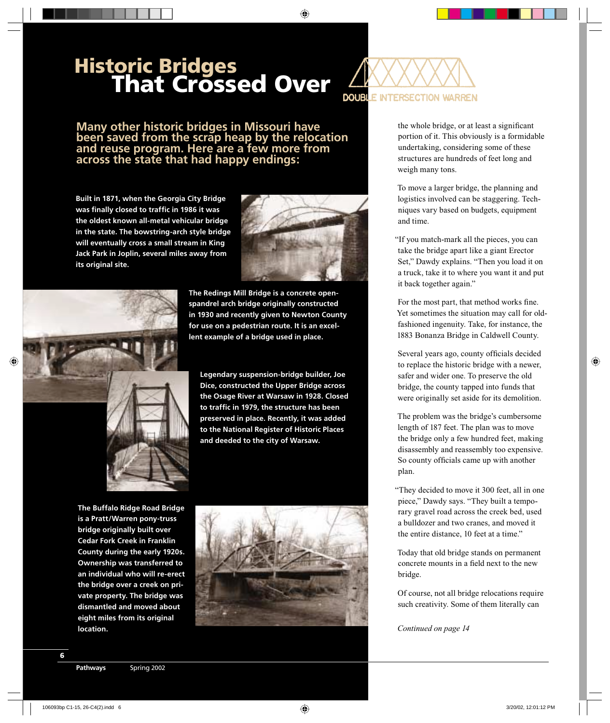## **Historic Bridges That Crossed Over**



**Many other historic bridges in Missouri have been saved from the scrap heap by the relocation and reuse program. Here are a few more from across the state that had happy endings:**

**Built in 1871, when the Georgia City Bridge**  was finally closed to traffic in 1986 it was **the oldest known all-metal vehicular bridge in the state. The bowstring-arch style bridge will eventually cross a small stream in King Jack Park in Joplin, several miles away from its original site.** 





**The Redings Mill Bridge is a concrete openspandrel arch bridge originally constructed in 1930 and recently given to Newton County for use on a pedestrian route. It is an excellent example of a bridge used in place.** 

**Legendary suspension-bridge builder, Joe Dice, constructed the Upper Bridge across the Osage River at Warsaw in 1928. Closed**  to traffic in 1979, the structure has been **preserved in place. Recently, it was added to the National Register of Historic Places and deeded to the city of Warsaw.**

**The Buffalo Ridge Road Bridge is a Pratt/Warren pony-truss bridge originally built over Cedar Fork Creek in Franklin County during the early 1920s. Ownership was transferred to an individual who will re-erect the bridge over a creek on private property. The bridge was dismantled and moved about eight miles from its original location.**



the whole bridge, or at least a significant portion of it. This obviously is a formidable undertaking, considering some of these structures are hundreds of feet long and weigh many tons.

To move a larger bridge, the planning and logistics involved can be staggering. Techniques vary based on budgets, equipment and time.

"If you match-mark all the pieces, you can take the bridge apart like a giant Erector Set," Dawdy explains. "Then you load it on a truck, take it to where you want it and put it back together again."

For the most part, that method works fine. Yet sometimes the situation may call for oldfashioned ingenuity. Take, for instance, the 1883 Bonanza Bridge in Caldwell County.

Several years ago, county officials decided to replace the historic bridge with a newer, safer and wider one. To preserve the old bridge, the county tapped into funds that were originally set aside for its demolition.

The problem was the bridge's cumbersome length of 187 feet. The plan was to move the bridge only a few hundred feet, making disassembly and reassembly too expensive. So county officials came up with another plan.

"They decided to move it 300 feet, all in one piece," Dawdy says. "They built a temporary gravel road across the creek bed, used a bulldozer and two cranes, and moved it the entire distance, 10 feet at a time."

Today that old bridge stands on permanent concrete mounts in a field next to the new bridge.

Of course, not all bridge relocations require such creativity. Some of them literally can

*Continued on page 14*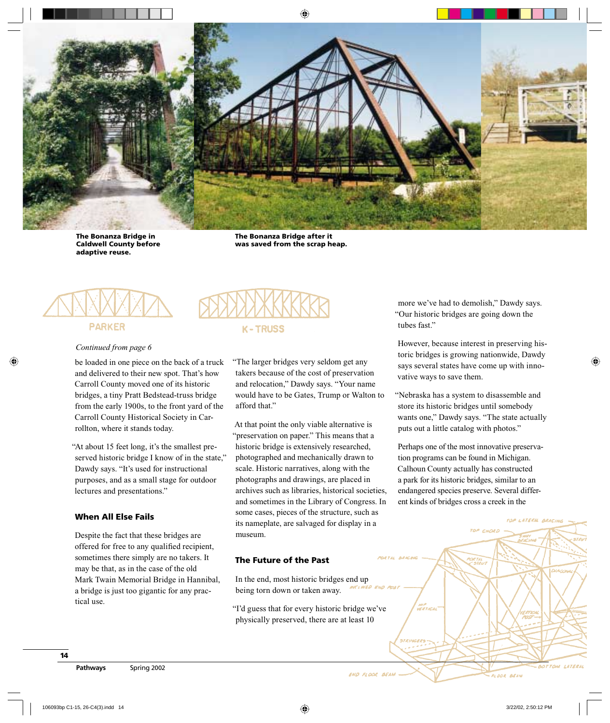

**The Bonanza Bridge in Caldwell County before adaptive reuse.**

**The Bonanza Bridge after it was saved from the scrap heap.** 



# **K-TRUSS**

*Continued from page 6*

be loaded in one piece on the back of a truck and delivered to their new spot. That's how Carroll County moved one of its historic bridges, a tiny Pratt Bedstead-truss bridge from the early 1900s, to the front yard of the Carroll County Historical Society in Carrollton, where it stands today.

"At about 15 feet long, it's the smallest preserved historic bridge I know of in the state," Dawdy says. "It's used for instructional purposes, and as a small stage for outdoor lectures and presentations."

#### **When All Else Fails**

Despite the fact that these bridges are offered for free to any qualified recipient, sometimes there simply are no takers. It may be that, as in the case of the old Mark Twain Memorial Bridge in Hannibal, a bridge is just too gigantic for any practical use.

"The larger bridges very seldom get any takers because of the cost of preservation and relocation," Dawdy says. "Your name would have to be Gates, Trump or Walton to afford that."

At that point the only viable alternative is "preservation on paper." This means that a historic bridge is extensively researched, photographed and mechanically drawn to scale. Historic narratives, along with the photographs and drawings, are placed in archives such as libraries, historical societies, and sometimes in the Library of Congress. In some cases, pieces of the structure, such as its nameplate, are salvaged for display in a museum.

#### **The Future of the Past**

In the end, most historic bridges end up being torn down or taken away.

"I'd guess that for every historic bridge we've physically preserved, there are at least 10

more we've had to demolish," Dawdy says. "Our historic bridges are going down the tubes fast."

However, because interest in preserving historic bridges is growing nationwide, Dawdy says several states have come up with innovative ways to save them.

"Nebraska has a system to disassemble and store its historic bridges until somebody wants one," Dawdy says. "The state actually puts out a little catalog with photos."

Perhaps one of the most innovative preservation programs can be found in Michigan. Calhoun County actually has constructed a park for its historic bridges, similar to an endangered species preserve. Several different kinds of bridges cross a creek in the

ER TAL<br>- STRUI

**FLOOR BEAM** 

LATERN BRACIA

BOTTOM LATER

END FLOOR BEAM